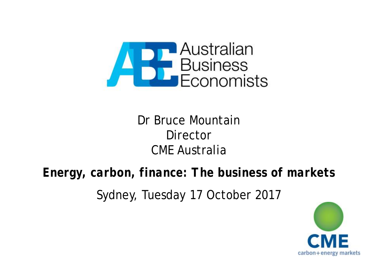

# Dr Bruce Mountain **Director** CME Australia

## *Energy, carbon, finance: The business of markets*

Sydney, Tuesday 17 October 2017

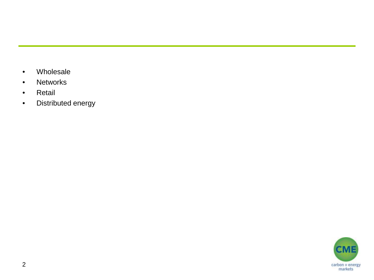- Wholesale
- Networks
- Retail
- Distributed energy

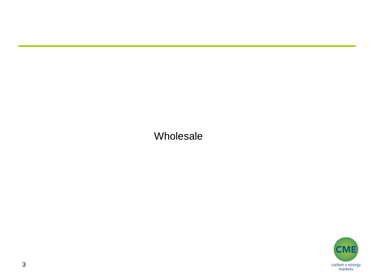Wholesale

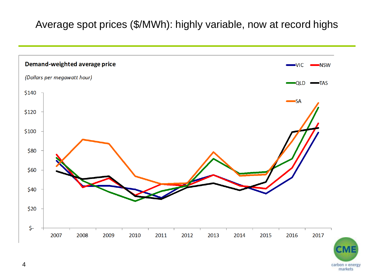#### Average spot prices (\$/MWh): highly variable, now at record highs



carbon + energy markets

4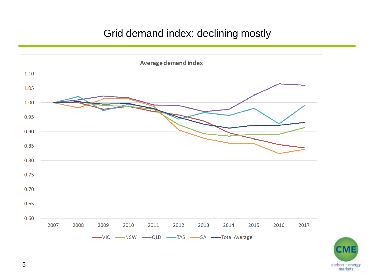#### Grid demand index: declining mostly



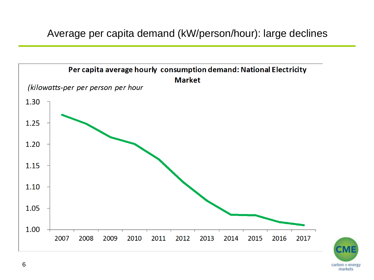Average per capita demand (kW/person/hour): large declines



6

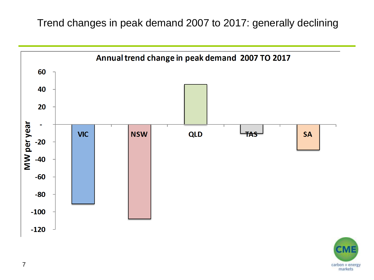Trend changes in peak demand 2007 to 2017: generally declining



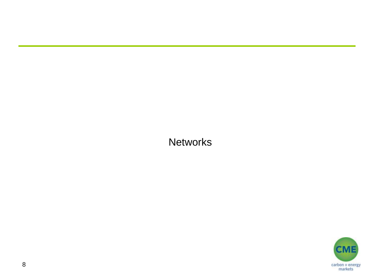**Networks** 

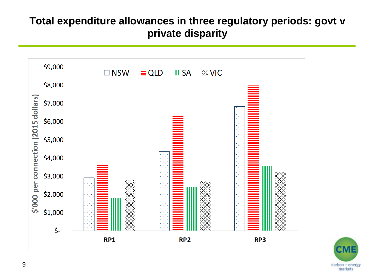#### **Total expenditure allowances in three regulatory periods: govt v private disparity**



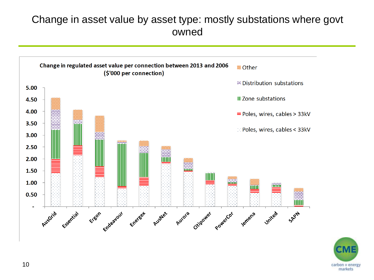#### Change in asset value by asset type: mostly substations where govt owned



carbon + energy markets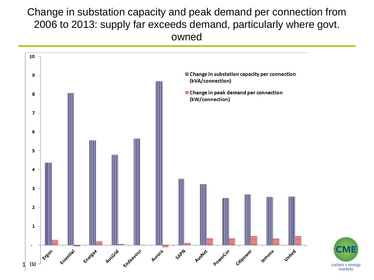#### Change in substation capacity and peak demand per connection from 2006 to 2013: supply far exceeds demand, particularly where govt. owned

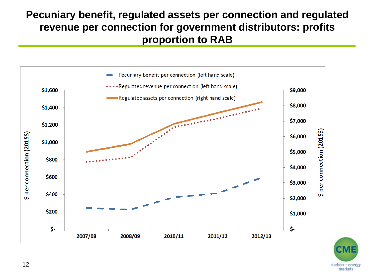#### **Pecuniary benefit, regulated assets per connection and regulated revenue per connection for government distributors: profits proportion to RAB**



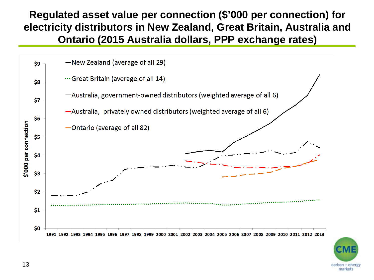**Regulated asset value per connection (\$'000 per connection) for electricity distributors in New Zealand, Great Britain, Australia and Ontario (2015 Australia dollars, PPP exchange rates)**



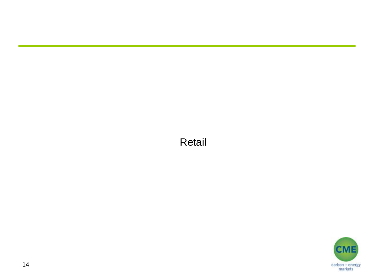#### Retail

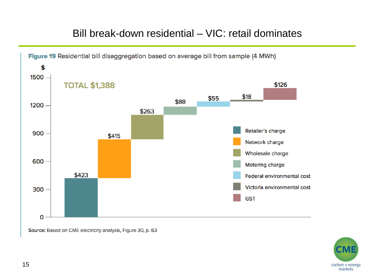#### Bill break-down residential – VIC: retail dominates



Source: Based on CME electricity analysis, Figure 30, p. 63

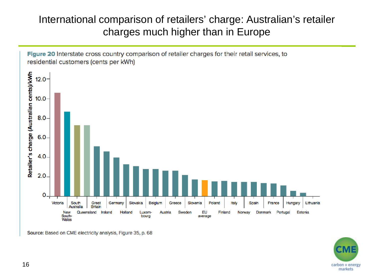#### International comparison of retailers' charge: Australian's retailer charges much higher than in Europe



Source: Based on CME electricity analysis, Figure 35, p. 68

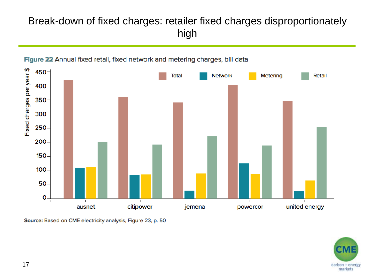### Break-down of fixed charges: retailer fixed charges disproportionately high



Figure 22 Annual fixed retail, fixed network and metering charges, bill data

Source: Based on CME electricity analysis, Figure 23, p. 50

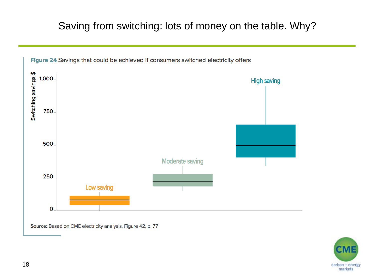## Saving from switching: lots of money on the table. Why?



Figure 24 Savings that could be achieved if consumers switched electricity offers

Source: Based on CME electricity analysis, Figure 42, p. 77

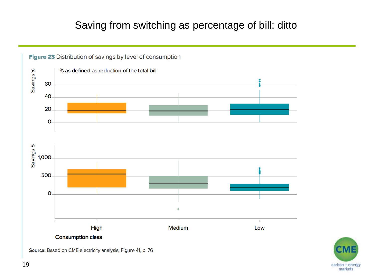### Saving from switching as percentage of bill: ditto





Source: Based on CME electricity analysis, Figure 41, p. 76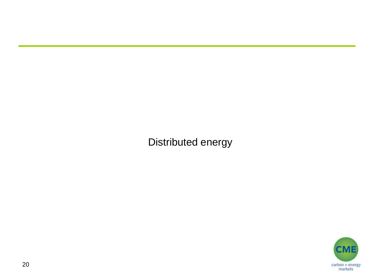Distributed energy

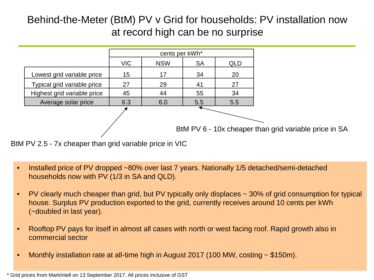#### Behind-the-Meter (BtM) PV v Grid for households: PV installation now at record high can be no surprise



BtM PV 2.5 - 7x cheaper than grid variable price in VIC

- Installed price of PV dropped ~80% over last 7 years. Nationally 1/5 detached/semi-detached households now with PV (1/3 in SA and QLD).
- PV clearly much cheaper than grid, but PV typically only displaces ~ 30% of grid consumption for typical house. Surplus PV production exported to the grid, currently receives around 10 cents per kWh (~doubled in last year).
- Rooftop PV pays for itself in almost all cases with north or west facing roof. Rapid growth also in commercial sector
- Monthly installation rate at all-time high in August 2017 (100 MW, costing ~ \$150m).

<sup>\*</sup> Grid prices from MarkIntell on 13 September 2017. All prices inclusive of GST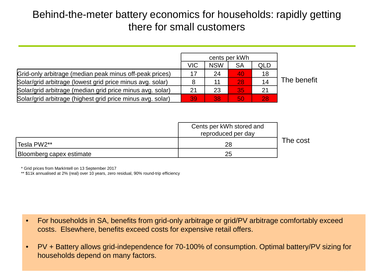#### Behind-the-meter battery economics for households: rapidly getting there for small customers

|                                                            | cents per kWh |            |                 |     |             |
|------------------------------------------------------------|---------------|------------|-----------------|-----|-------------|
|                                                            | <b>VIC</b>    | <b>NSW</b> | <b>SA</b>       | QLD |             |
| Grid-only arbitrage (median peak minus off-peak prices)    | 17            | 24         | 40              | 18  |             |
| Solar/grid arbitrage (lowest grid price minus avg. solar)  |               |            | 28              | 14  | The benefit |
| Solar/grid arbitrage (median grid price minus avg. solar)  | 21            | 23         | 35 <sub>1</sub> |     |             |
| Solar/grid arbitrage (highest grid price minus avg. solar) | 39            | 38         | 50              | 28  |             |

|                          | Cents per kWh stored and |          |
|--------------------------|--------------------------|----------|
|                          | reproduced per day       |          |
| Tesla PW2**              | 28                       | The cost |
| Bloomberg capex estimate | 25                       |          |

\* Grid prices from MarkIntell on 13 September 2017

\*\* \$11k annualised at 2% (real) over 10 years, zero residual, 90% round-trip efficiency

- For households in SA, benefits from grid-only arbitrage or grid/PV arbitrage comfortably exceed costs. Elsewhere, benefits exceed costs for expensive retail offers.
- PV + Battery allows grid-independence for 70-100% of consumption. Optimal battery/PV sizing for households depend on many factors.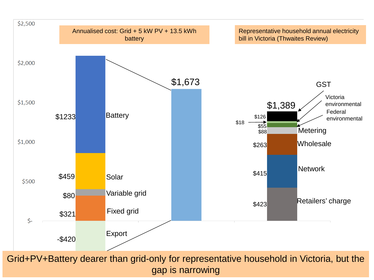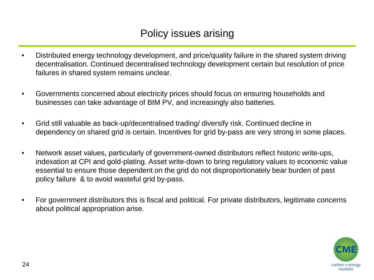#### Policy issues arising

- Distributed energy technology development, and price/quality failure in the shared system driving decentralisation. Continued decentralised technology development certain but resolution of price failures in shared system remains unclear.
- Governments concerned about electricity prices should focus on ensuring households and businesses can take advantage of BtM PV, and increasingly also batteries.
- Grid still valuable as back-up/decentralised trading/ diversify risk. Continued decline in dependency on shared grid is certain. Incentives for grid by-pass are very strong in some places.
- Network asset values, particularly of government-owned distributors reflect historic write-ups, indexation at CPI and gold-plating. Asset write-down to bring regulatory values to economic value essential to ensure those dependent on the grid do not disproportionately bear burden of past policy failure & to avoid wasteful grid by-pass.
- For government distributors this is fiscal and political. For private distributors, legitimate concerns about political appropriation arise.